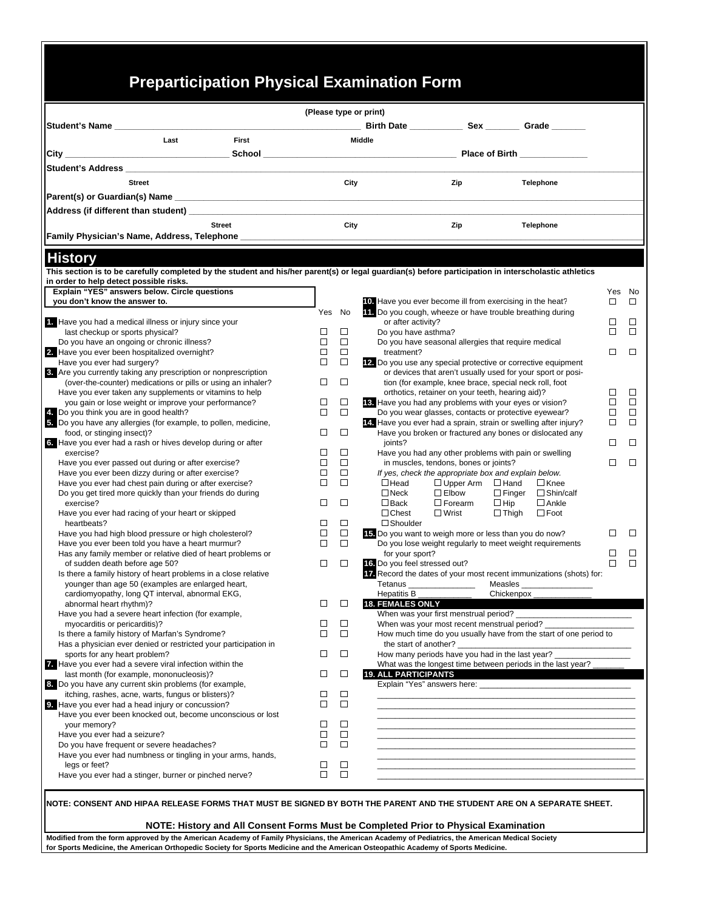## **Preparticipation Physical Examination Form**

 $\ddot{\phantom{0}}$ 

|                                                                                                                                                       |        | (Please type or print) |                                                                                 |                  |                                                                                                                      |        |  |
|-------------------------------------------------------------------------------------------------------------------------------------------------------|--------|------------------------|---------------------------------------------------------------------------------|------------------|----------------------------------------------------------------------------------------------------------------------|--------|--|
| Student's Name                                                                                                                                        |        |                        |                                                                                 |                  |                                                                                                                      |        |  |
| First<br>Last                                                                                                                                         |        |                        | <b>Middle</b>                                                                   |                  |                                                                                                                      |        |  |
|                                                                                                                                                       |        |                        |                                                                                 |                  |                                                                                                                      |        |  |
|                                                                                                                                                       |        |                        |                                                                                 |                  |                                                                                                                      |        |  |
| <b>Street</b>                                                                                                                                         |        | City                   |                                                                                 | Zip              | <b>Telephone</b>                                                                                                     |        |  |
|                                                                                                                                                       |        |                        |                                                                                 |                  |                                                                                                                      |        |  |
|                                                                                                                                                       |        |                        |                                                                                 |                  |                                                                                                                      |        |  |
| <b>Street</b>                                                                                                                                         |        | City                   |                                                                                 | Zip              | Telephone                                                                                                            |        |  |
| Family Physician's Name, Address, Telephone _______________                                                                                           |        |                        |                                                                                 |                  |                                                                                                                      |        |  |
| <b>History</b>                                                                                                                                        |        |                        |                                                                                 |                  |                                                                                                                      |        |  |
| This section is to be carefully completed by the student and his/her parent(s) or legal guardian(s) before participation in interscholastic athletics |        |                        |                                                                                 |                  |                                                                                                                      |        |  |
| in order to help detect possible risks.                                                                                                               |        |                        |                                                                                 |                  |                                                                                                                      |        |  |
| Explain "YES" answers below. Circle questions                                                                                                         |        |                        |                                                                                 |                  |                                                                                                                      | Yes No |  |
| you don't know the answer to.                                                                                                                         |        |                        | 10. Have you ever become ill from exercising in the heat?                       |                  |                                                                                                                      | □      |  |
|                                                                                                                                                       | Yes    | No                     | 11. Do you cough, wheeze or have trouble breathing during<br>or after activity? |                  |                                                                                                                      | □      |  |
| 1. Have you had a medical illness or injury since your<br>last checkup or sports physical?                                                            | □      | □                      | Do you have asthma?                                                             |                  |                                                                                                                      | П      |  |
| Do you have an ongoing or chronic illness?                                                                                                            | □      | $\Box$                 | Do you have seasonal allergies that require medical                             |                  |                                                                                                                      |        |  |
| 2. Have you ever been hospitalized overnight?                                                                                                         | □      | $\Box$                 | treatment?                                                                      |                  |                                                                                                                      | □      |  |
| Have you ever had surgery?                                                                                                                            | $\Box$ | $\Box$                 |                                                                                 |                  | 12. Do you use any special protective or corrective equipment                                                        |        |  |
| 8. Are you currently taking any prescription or nonprescription                                                                                       |        |                        |                                                                                 |                  | or devices that aren't usually used for your sport or posi-                                                          |        |  |
| (over-the-counter) medications or pills or using an inhaler?                                                                                          | □      | $\Box$                 |                                                                                 |                  | tion (for example, knee brace, special neck roll, foot                                                               |        |  |
| Have you ever taken any supplements or vitamins to help                                                                                               |        |                        | orthotics, retainer on your teeth, hearing aid)?                                |                  |                                                                                                                      | □      |  |
| you gain or lose weight or improve your performance?                                                                                                  | □      | $\Box$                 | 18. Have you had any problems with your eyes or vision?                         |                  |                                                                                                                      | □      |  |
| 4. Do you think you are in good health?                                                                                                               | П      | $\Box$                 |                                                                                 |                  | Do you wear glasses, contacts or protective eyewear?                                                                 | ◻      |  |
| 5. Do you have any allergies (for example, to pollen, medicine,                                                                                       |        |                        |                                                                                 |                  | 14. Have you ever had a sprain, strain or swelling after injury?                                                     | □      |  |
| food, or stinging insect)?                                                                                                                            | □      | $\Box$                 |                                                                                 |                  | Have you broken or fractured any bones or dislocated any                                                             | □      |  |
| 6. Have you ever had a rash or hives develop during or after<br>exercise?                                                                             | □      | □                      | joints?                                                                         |                  | Have you had any other problems with pain or swelling                                                                |        |  |
| Have you ever passed out during or after exercise?                                                                                                    | □      | $\Box$                 | in muscles, tendons, bones or joints?                                           |                  |                                                                                                                      | $\Box$ |  |
| Have you ever been dizzy during or after exercise?                                                                                                    | □      | $\Box$                 | If yes, check the appropriate box and explain below.                            |                  |                                                                                                                      |        |  |
| Have you ever had chest pain during or after exercise?                                                                                                | □      | $\Box$                 | $\Box$ Head                                                                     | $\Box$ Upper Arm | $\Box$ Hand<br>$\Box$ Knee                                                                                           |        |  |
| Do you get tired more quickly than your friends do during                                                                                             |        |                        | $\Box$ Neck                                                                     | $\Box$ Elbow     | $\Box$ Finger<br>$\Box$ Shin/calf                                                                                    |        |  |
| exercise?                                                                                                                                             | □      | □                      | $\Box$ Back                                                                     | $\Box$ Forearm   | $\Box$ Hip<br>$\Box$ Ankle                                                                                           |        |  |
| Have you ever had racing of your heart or skipped                                                                                                     |        |                        | $\Box$ Chest<br>$\square$ Wrist                                                 |                  | $\Box$ Thigh<br>$\Box$ Foot                                                                                          |        |  |
| heartbeats?                                                                                                                                           | □      | $\Box$                 | $\square$ Shoulder                                                              |                  |                                                                                                                      |        |  |
| Have you had high blood pressure or high cholesterol?                                                                                                 | □      | $\Box$                 | 15. Do you want to weigh more or less than you do now?                          |                  |                                                                                                                      | П      |  |
| Have you ever been told you have a heart murmur?                                                                                                      | □      | $\Box$                 |                                                                                 |                  | Do you lose weight regularly to meet weight requirements                                                             |        |  |
| Has any family member or relative died of heart problems or                                                                                           | □      | □                      | for your sport?                                                                 |                  |                                                                                                                      | □<br>□ |  |
| of sudden death before age 50?<br>Is there a family history of heart problems in a close relative                                                     |        |                        | 16. Do you feel stressed out?                                                   |                  | Tz. Record the dates of your most recent immunizations (shots) for:                                                  |        |  |
| younger than age 50 (examples are enlarged heart,                                                                                                     |        |                        | Tetanus _________________                                                       |                  | Measles _                                                                                                            |        |  |
| cardiomyopathy, long QT interval, abnormal EKG,                                                                                                       |        |                        | Hepatitis B                                                                     |                  | Chickenpox_                                                                                                          |        |  |
| abnormal heart rhythm)?                                                                                                                               | $\Box$ | $\Box$                 | <b>18. FEMALES ONLY</b>                                                         |                  |                                                                                                                      |        |  |
| Have you had a severe heart infection (for example,                                                                                                   |        |                        | When was your first menstrual period?                                           |                  |                                                                                                                      |        |  |
| myocarditis or pericarditis)?                                                                                                                         | ப      | □                      | When was your most recent menstrual period?                                     |                  |                                                                                                                      |        |  |
| Is there a family history of Marfan's Syndrome?                                                                                                       | П      | $\Box$                 |                                                                                 |                  | How much time do you usually have from the start of one period to                                                    |        |  |
| Has a physician ever denied or restricted your participation in                                                                                       |        |                        | the start of another?                                                           |                  |                                                                                                                      |        |  |
| sports for any heart problem?                                                                                                                         | ⊔      | □                      | How many periods have you had in the last year?                                 |                  |                                                                                                                      |        |  |
| 7. Have you ever had a severe viral infection within the                                                                                              |        |                        |                                                                                 |                  | What was the longest time between periods in the last year?                                                          |        |  |
| last month (for example, mononucleosis)?                                                                                                              | □      | $\Box$                 | <b>19. ALL PARTICIPANTS</b>                                                     |                  | <u> 1980 - John Stone, mars and de la population de la population de la population de la population de la popula</u> |        |  |
| 8. Do you have any current skin problems (for example,<br>itching, rashes, acne, warts, fungus or blisters)?                                          | □      | □                      |                                                                                 |                  |                                                                                                                      |        |  |
| 9. Have you ever had a head injury or concussion?                                                                                                     | □      | $\Box$                 |                                                                                 |                  |                                                                                                                      |        |  |
| Have you ever been knocked out, become unconscious or lost                                                                                            |        |                        |                                                                                 |                  |                                                                                                                      |        |  |
| your memory?                                                                                                                                          | ப      | □                      |                                                                                 |                  |                                                                                                                      |        |  |
| Have you ever had a seizure?                                                                                                                          | □      | $\Box$                 |                                                                                 |                  |                                                                                                                      |        |  |
| Do you have frequent or severe headaches?                                                                                                             | □      | $\Box$                 |                                                                                 |                  |                                                                                                                      |        |  |
| Have you ever had numbness or tingling in your arms, hands,                                                                                           |        |                        |                                                                                 |                  |                                                                                                                      |        |  |
| legs or feet?                                                                                                                                         | ⊔      | □                      |                                                                                 |                  |                                                                                                                      |        |  |
| Have you ever had a stinger, burner or pinched nerve?                                                                                                 | П      | $\Box$                 |                                                                                 |                  |                                                                                                                      |        |  |

**NOTE: History and All Consent Forms Must be Completed Prior to Physical Examination**

**Modified from the form approved by the American Academy of Family Physicians, the American Academy of Pediatrics, the American Medical Society for Sports Medicine, the American Orthopedic Society for Sports Medicine and the American Osteopathic Academy of Sports Medicine.**